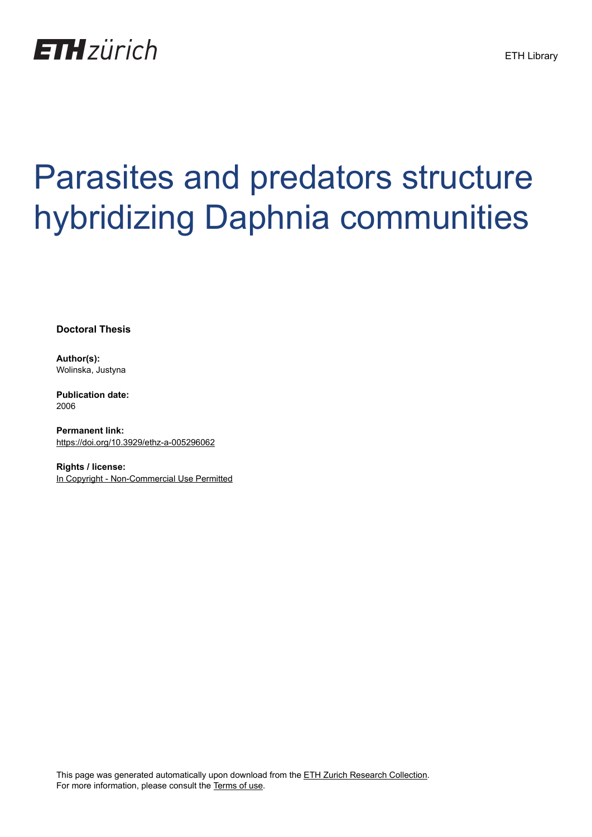

## Parasites and predators structure hybridizing Daphnia communities

**Doctoral Thesis**

**Author(s):** Wolinska, Justyna

**Publication date:** 2006

**Permanent link:** <https://doi.org/10.3929/ethz-a-005296062>

**Rights / license:** [In Copyright - Non-Commercial Use Permitted](http://rightsstatements.org/page/InC-NC/1.0/)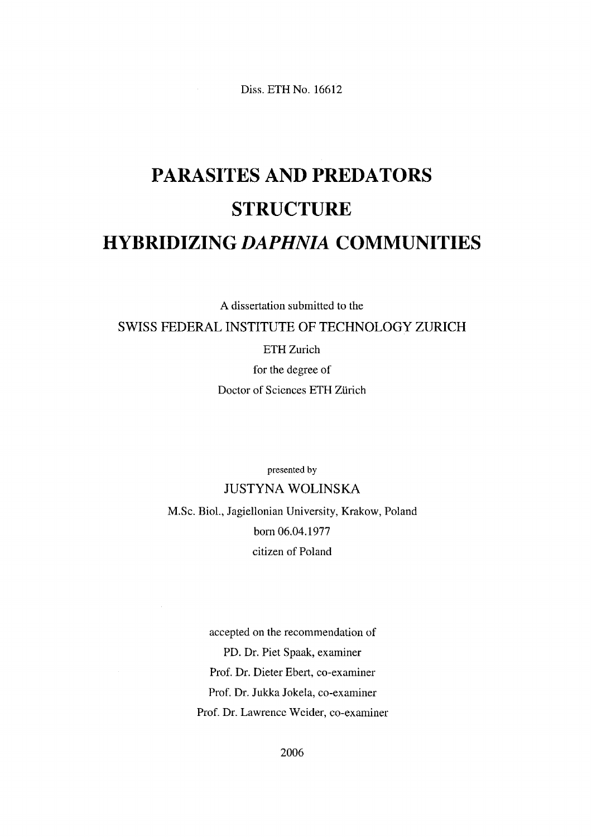Diss. ETH No. 16612

## PARASITES AND PREDATORS **STRUCTURE** HYBRIDIZING DAPHNIA COMMUNITIES

A dissertation submitted to the SWISS FEDERAL INSTITUTE OF TECHNOLOGY ZURICH ETH Zürich

for the degree of Doctor of Sciences ETH Zürich

presented by JUSTYNAWOLINSKA M.Sc. Biol., Jagiellonian University, Krakow, Poland born 06.04.1977

citizen of Poland

accepted on the recommendation of PD. Dr. Piet Spaak, examiner Prof. Dr. Dieter Ebert, co-examiner Prof. Dr. Jukka Jokela, co-examiner Prof. Dr. Lawrence Weider, co-examiner

2006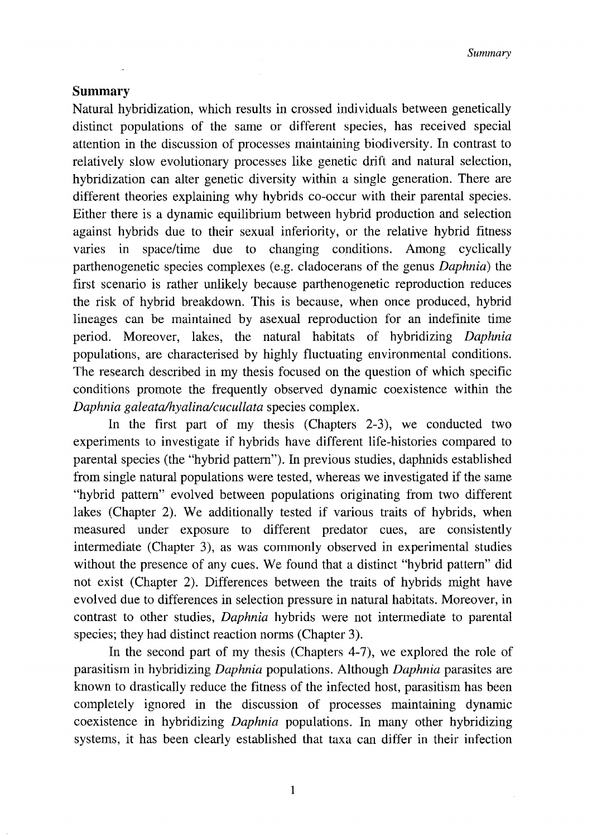## Summary

Natural hybridization, which results in crossed individuals between genetically distinct populations of the same or different species, has received special attention in the discussion of processes maintaining biodiversity. In contrast to relatively slow evolutionary processes like genetic drift and natural selection, hybridization can alter genetic diversity within a single generation. There are different theories explaining why hybrids co-occur with their parental species. Either there is a dynamic equilibrium between hybrid production and selection against hybrids due to their sexual inferiority, or the relative hybrid fitness varies in space/time due to changing conditions. Among cyclically parthenogenetic species complexes (e.g. cladocerans of the genus Daphnia) the first scenario is rather unlikely because parthenogenetic reproduction reduces the risk of hybrid breakdown. This is because, when once produced, hybrid lineages can be maintained by asexual reproduction for an indefinite time period. Moreover, lakes, the natural habitats of hybridizing Daphnia populations, are characterised by highly fluctuating environmental conditions. The research described in my thesis focused on the question of which specific conditions promote the frequently observed dynamic coexistence within the Daphnia galeata/hyalina/cucullata species complex.

In the first part of my thesis (Chapters 2-3), we condueted two experiments to investigate if hybrids have different life-histories compared to parental species (the "hybrid pattern"). In previous studies, daphnids established from single natural populationswere tested, whereas we investigated if the same "hybrid pattern" evolved between populations originating from two different lakes (Chapter 2). We additionally tested if various traits of hybrids, when measured under exposure to different predator cues, are consistently intermediate (Chapter 3), as was commonly observed in experimental studies without the presence of any cues. We found that <sup>a</sup> distinct "hybrid pattern" did not exist (Chapter 2). Differences between the traits of hybrids might have evolved due to differences in selection pressure in natural habitats. Moreover, in contrast to other studies, Daphnia hybrids were not intermediate to parental species; they had distinct reaction norms (Chapter 3).

In the second part of my thesis (Chapters 4-7), we explored the role of parasitism in hybridizing Daphnia populations. Although Daphnia parasites are known to drastically reduce the fitness of the infected host, parasitism has been completely ignored in the discussion of processes maintaining dynamic coexistence in hybridizing Daphnia populations. In many other hybridizing systems, it has been clearly established that taxa can differ in their infection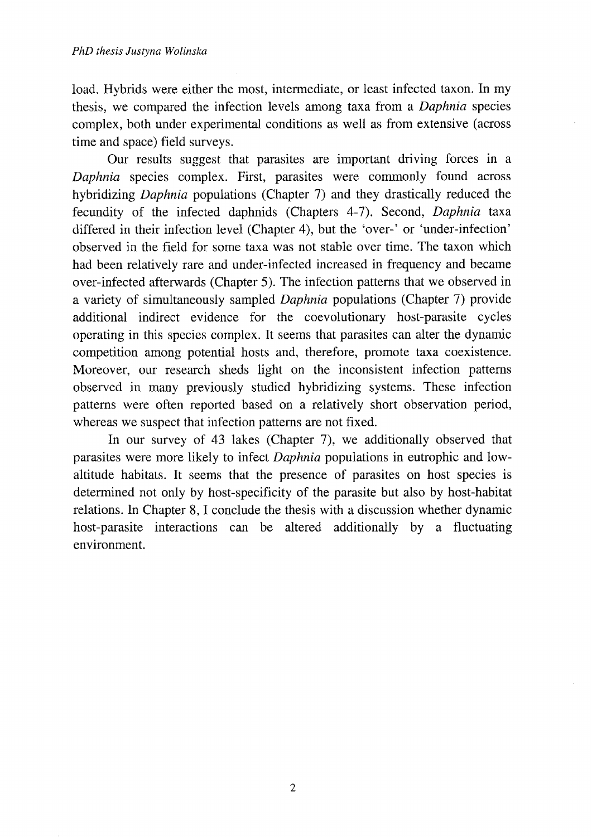load. Hybrids were either the most, intermediate, or least infected taxon. In my thesis, we compared the infection levels among taxa from <sup>a</sup> Daphnia species complex, both under experimental conditions as well as from extensive (across time and space) field surveys.

Our results suggest that parasites are important driving forces in <sup>a</sup> Daphnia species complex. First, parasites were commonly found across hybridizing *Daphnia* populations (Chapter 7) and they drastically reduced the fecundity of the infected daphnids (Chapters 4-7). Second, Daphnia taxa differed in their infection level (Chapter 4), but the 'over-' or 'under-infection' observed in the field for some taxa was not stable over time. The taxon which had been relatively rare and under-infected increased in frequency and became over-infected afterwards (Chapter 5). The infection patterns that we observed in a variety of simultaneously sampled Daphnia populations (Chapter 7) provide additional indirect evidence for the coevolutionary host-parasite cycles operating in this species complex. It seems that parasites can alter the dynamic competition among potential hosts and, therefore, promote taxa coexistence. Moreover, our research sheds light on the inconsistent infection patterns observed in many previously studied hybridizing Systems. These infection patterns were often reported based on <sup>a</sup> relatively short Observation period, whereas we suspect that infection patterns are not fixed.

In our survey of 43 lakes (Chapter 7), we additionally observed that parasites were more likely to infect *Daphnia* populations in eutrophic and lowaltitude habitats. It seems that the presence of parasites on host species is determined not only by host-specificity of the parasite but also by host-habitat relations. In Chapter 8, I conclude the thesis with a discussion whether dynamic host-parasite interactions can be altered additionally by <sup>a</sup> fluctuating environment.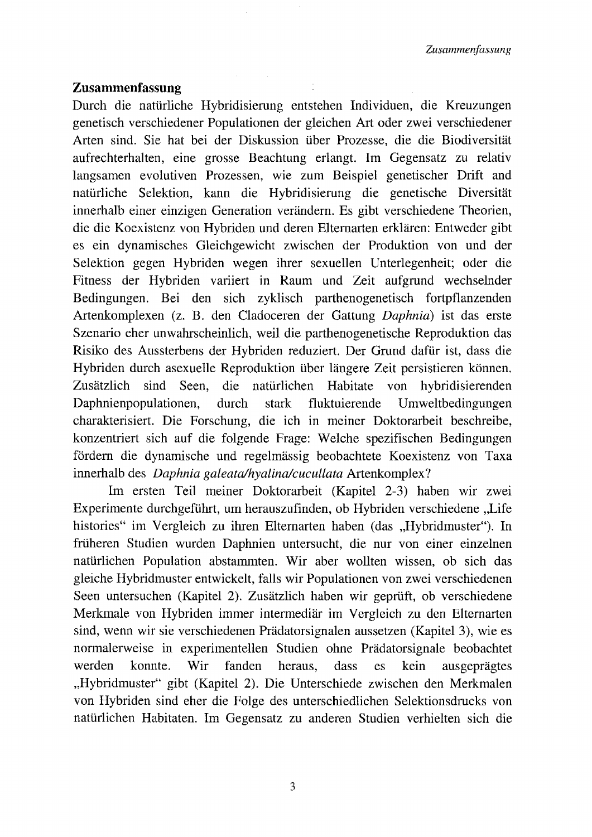## Zusammenfassung

Durch die natürliche Hybridisierung entstehen Individuen, die Kreuzungen genetisch verschiedener Populationen der gleichen Art oder zwei verschiedener Arten sind. Sie hat bei der Diskussion über Prozesse, die die Biodiversität aufrechterhalten, eine grosse Beachtung erlangt. Im Gegensatz zu relativ langsamen evolutiven Prozessen, wie zum Beispiel genetischer Drift and natürliche Selektion, kann die Hybridisierung die genetische Diversitat innerhalb einer einzigen Generation verändern. Es gibt verschiedene Theorien, die die Koexistenz von Hybriden und deren Elternarten erklären: Entweder gibt es ein dynamisches Gleichgewicht zwischen der Produktion von und der Selektion gegen Hybriden wegen ihrer sexuellen Unterlegenheit; oder die Fitness der Hybriden variiert in Raum und Zeit aufgrund wechselnder Bedingungen. Bei den sich zyklisch parthenogenetisch fortpflanzenden Artenkomplexen (z. B. den Cladoceren der Gattung Daphnia) ist das erste Szenario eher unwahrscheinlich, weil die parthenogenetische Reproduktion das Risiko des Aussterbens der Hybriden reduziert. Der Grund dafür ist, dass die Hybriden durch asexuelle Reproduktion über längere Zeit persistieren können.<br>Zusätzlich sind Seen, die natürlichen Habitate von hybridisierenden die natürlichen Habitate von hybridisierenden Daphnienpopulationen, durch stark fluktuierende Umweltbedingungen charakterisiert. Die Forschung, die ich in meiner Doktorarbeit beschreibe, konzentriert sich auf die folgende Frage: Welche spezifischen Bedingungen fördern die dynamische und regelmässig beobachtete Koexistenz von Taxa innerhalb des Daphnia galeata/hyalina/cucullata Artenkomplex?

Im ersten Teil meiner Doktorarbeit (Kapitel 2-3) haben wir zwei Experimente durchgeführt, um herauszufinden, ob Hybriden verschiedene "Life histories" im Vergleich zu ihren Elternarten haben (das "Hybridmuster"). In früheren Studien wurden Daphnien untersucht, die nur von einer einzelnen natürlichen Population abstammten. Wir aber wollten wissen, ob sich das gleiche Hybridmusterentwickelt, falls wir Populationen von zwei verschiedenen Seen untersuchen (Kapitel 2). Zusätzlich haben wir geprüft, ob verschiedene Merkmale von Hybriden immer intermediär im Vergleich zu den Elternarten sind, wenn wir sie verschiedenen Prädatorsignalen aussetzen (Kapitel 3), wie es normalerweise in experimentellen Studien ohne Prädatorsignale beobachtet werden konnte. Wir fanden heraus, dass es kein ausgeprägtes werden konnte. Wir fanden heraus, dass es kein ausgeprägtes "Hybridmuster" gibt (Kapitel 2). Die Unterschiede zwischen den Merkmalen von Hybriden sind eher die Folge des unterschiedlichen Selektionsdrucks von natürlichen Habitaten. Im Gegensatz zu anderen Studien verhielten sich die